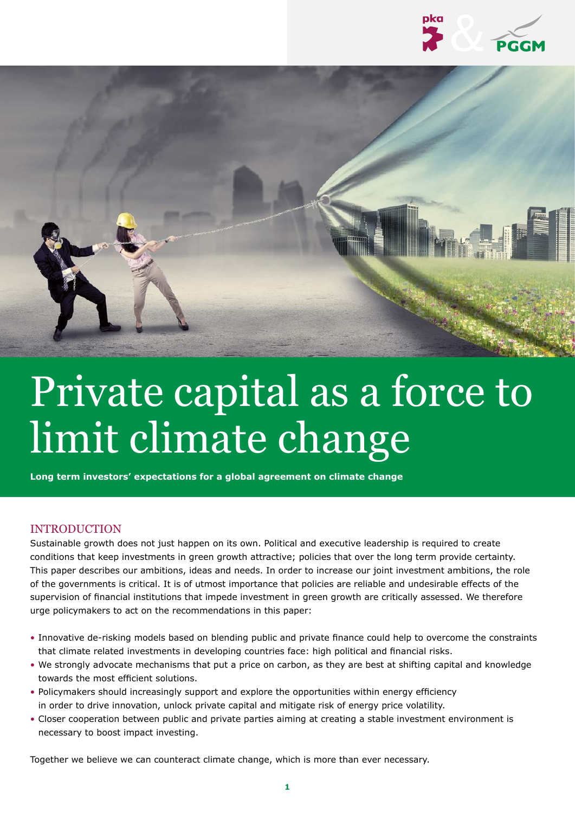



# Private capital as a force to limit climate change

**Long term investors' expectations for a global agreement on climate change**

#### **INTRODUCTION**

Sustainable growth does not just happen on its own. Political and executive leadership is required to create conditions that keep investments in green growth attractive; policies that over the long term provide certainty. This paper describes our ambitions, ideas and needs. In order to increase our joint investment ambitions, the role of the governments is critical. It is of utmost importance that policies are reliable and undesirable effects of the supervision of financial institutions that impede investment in green growth are critically assessed. We therefore urge policymakers to act on the recommendations in this paper:

- Innovative de-risking models based on blending public and private finance could help to overcome the constraints that climate related investments in developing countries face: high political and financial risks.
- We strongly advocate mechanisms that put a price on carbon, as they are best at shifting capital and knowledge towards the most efficient solutions.
- Policymakers should increasingly support and explore the opportunities within energy efficiency in order to drive innovation, unlock private capital and mitigate risk of energy price volatility.
- Closer cooperation between public and private parties aiming at creating a stable investment environment is necessary to boost impact investing.

Together we believe we can counteract climate change, which is more than ever necessary.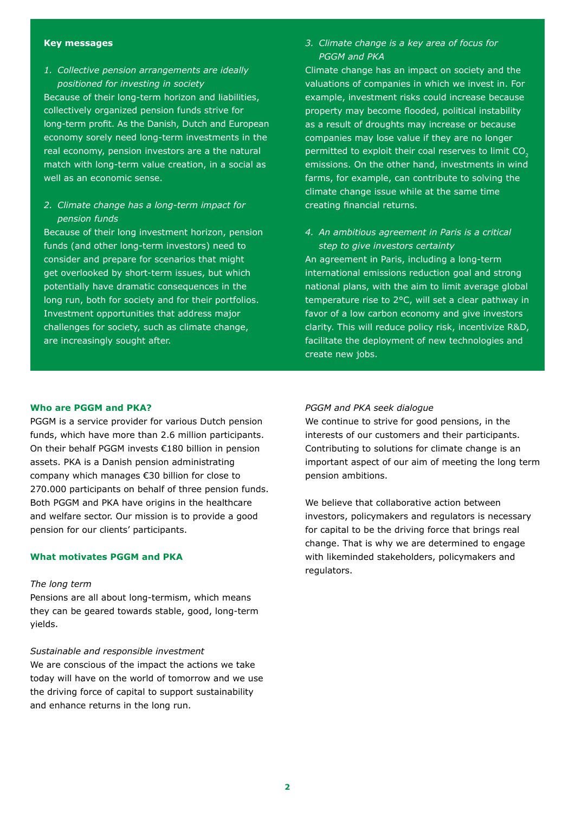#### **Key messages**

*1. Collective pension arrangements are ideally positioned for investing in society*

Because of their long-term horizon and liabilities, collectively organized pension funds strive for long-term profit. As the Danish, Dutch and European economy sorely need long-term investments in the real economy, pension investors are a the natural match with long-term value creation, in a social as well as an economic sense.

*2. Climate change has a long-term impact for pension funds*

Because of their long investment horizon, pension funds (and other long-term investors) need to consider and prepare for scenarios that might get overlooked by short-term issues, but which potentially have dramatic consequences in the long run, both for society and for their portfolios. Investment opportunities that address major challenges for society, such as climate change, are increasingly sought after.

*3. Climate change is a key area of focus for PGGM and PKA*

Climate change has an impact on society and the valuations of companies in which we invest in. For example, investment risks could increase because property may become flooded, political instability as a result of droughts may increase or because companies may lose value if they are no longer permitted to exploit their coal reserves to limit CO<sub>2</sub> emissions. On the other hand, investments in wind farms, for example, can contribute to solving the climate change issue while at the same time creating financial returns.

*4. An ambitious agreement in Paris is a critical step to give investors certainty*

An agreement in Paris, including a long-term international emissions reduction goal and strong national plans, with the aim to limit average global temperature rise to 2°C, will set a clear pathway in favor of a low carbon economy and give investors clarity. This will reduce policy risk, incentivize R&D, facilitate the deployment of new technologies and create new jobs.

#### **Who are PGGM and PKA?**

PGGM is a service provider for various Dutch pension funds, which have more than 2.6 million participants. On their behalf PGGM invests €180 billion in pension assets. PKA is a Danish pension administrating company which manages €30 billion for close to 270.000 participants on behalf of three pension funds. Both PGGM and PKA have origins in the healthcare and welfare sector. Our mission is to provide a good pension for our clients' participants.

#### **What motivates PGGM and PKA**

#### *The long term*

Pensions are all about long-termism, which means they can be geared towards stable, good, long-term yields.

#### *Sustainable and responsible investment*

We are conscious of the impact the actions we take today will have on the world of tomorrow and we use the driving force of capital to support sustainability and enhance returns in the long run.

#### *PGGM and PKA seek dialogue*

We continue to strive for good pensions, in the interests of our customers and their participants. Contributing to solutions for climate change is an important aspect of our aim of meeting the long term pension ambitions.

We believe that collaborative action between investors, policymakers and regulators is necessary for capital to be the driving force that brings real change. That is why we are determined to engage with likeminded stakeholders, policymakers and regulators.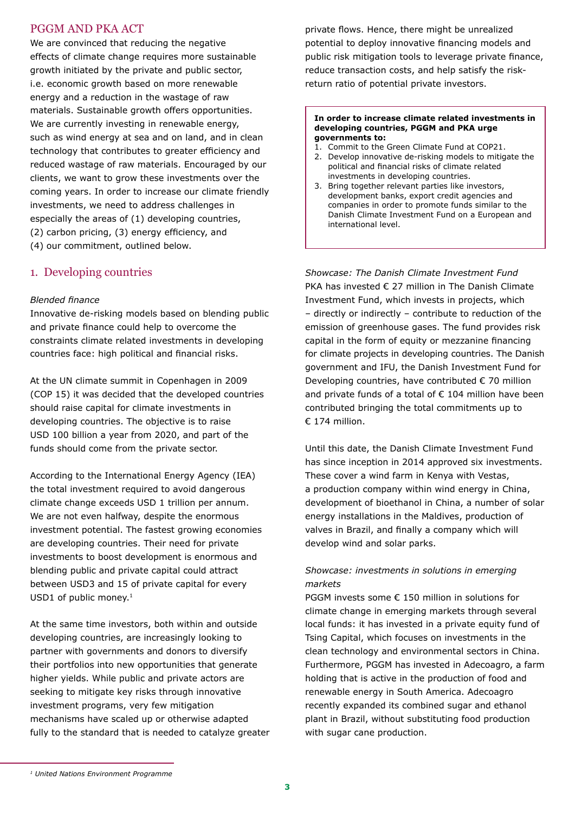# PGGM AND PKA ACT

We are convinced that reducing the negative effects of climate change requires more sustainable growth initiated by the private and public sector, i.e. economic growth based on more renewable energy and a reduction in the wastage of raw materials. Sustainable growth offers opportunities. We are currently investing in renewable energy, such as wind energy at sea and on land, and in clean technology that contributes to greater efficiency and reduced wastage of raw materials. Encouraged by our clients, we want to grow these investments over the coming years. In order to increase our climate friendly investments, we need to address challenges in especially the areas of (1) developing countries, (2) carbon pricing, (3) energy efficiency, and (4) our commitment, outlined below.

# 1. Developing countries

#### *Blended finance*

Innovative de-risking models based on blending public and private finance could help to overcome the constraints climate related investments in developing countries face: high political and financial risks.

At the UN climate summit in Copenhagen in 2009 (COP 15) it was decided that the developed countries should raise capital for climate investments in developing countries. The objective is to raise USD 100 billion a year from 2020, and part of the funds should come from the private sector.

According to the International Energy Agency (IEA) the total investment required to avoid dangerous climate change exceeds USD 1 trillion per annum. We are not even halfway, despite the enormous investment potential. The fastest growing economies are developing countries. Their need for private investments to boost development is enormous and blending public and private capital could attract between USD3 and 15 of private capital for every USD1 of public money.<sup>1</sup>

At the same time investors, both within and outside developing countries, are increasingly looking to partner with governments and donors to diversify their portfolios into new opportunities that generate higher yields. While public and private actors are seeking to mitigate key risks through innovative investment programs, very few mitigation mechanisms have scaled up or otherwise adapted fully to the standard that is needed to catalyze greater private flows. Hence, there might be unrealized potential to deploy innovative financing models and public risk mitigation tools to leverage private finance, reduce transaction costs, and help satisfy the riskreturn ratio of potential private investors.

#### **In order to increase climate related investments in developing countries, PGGM and PKA urge governments to:**

- 1. Commit to the Green Climate Fund at COP21.
- 2. Develop innovative de-risking models to mitigate the political and financial risks of climate related investments in developing countries.
- 3. Bring together relevant parties like investors, development banks, export credit agencies and companies in order to promote funds similar to the Danish Climate Investment Fund on a European and international level.

*Showcase: The Danish Climate Investment Fund* PKA has invested € 27 million in The Danish Climate Investment Fund, which invests in projects, which – directly or indirectly – contribute to reduction of the emission of greenhouse gases. The fund provides risk capital in the form of equity or mezzanine financing for climate projects in developing countries. The Danish government and IFU, the Danish Investment Fund for Developing countries, have contributed € 70 million and private funds of a total of  $\epsilon$  104 million have been contributed bringing the total commitments up to € 174 million.

Until this date, the Danish Climate Investment Fund has since inception in 2014 approved six investments. These cover a wind farm in Kenya with Vestas, a production company within wind energy in China, development of bioethanol in China, a number of solar energy installations in the Maldives, production of valves in Brazil, and finally a company which will develop wind and solar parks.

# *Showcase: investments in solutions in emerging markets*

PGGM invests some € 150 million in solutions for climate change in emerging markets through several local funds: it has invested in a private equity fund of Tsing Capital, which focuses on investments in the clean technology and environmental sectors in China. Furthermore, PGGM has invested in Adecoagro, a farm holding that is active in the production of food and renewable energy in South America. Adecoagro recently expanded its combined sugar and ethanol plant in Brazil, without substituting food production with sugar cane production.

*<sup>1</sup> United Nations Environment Programme*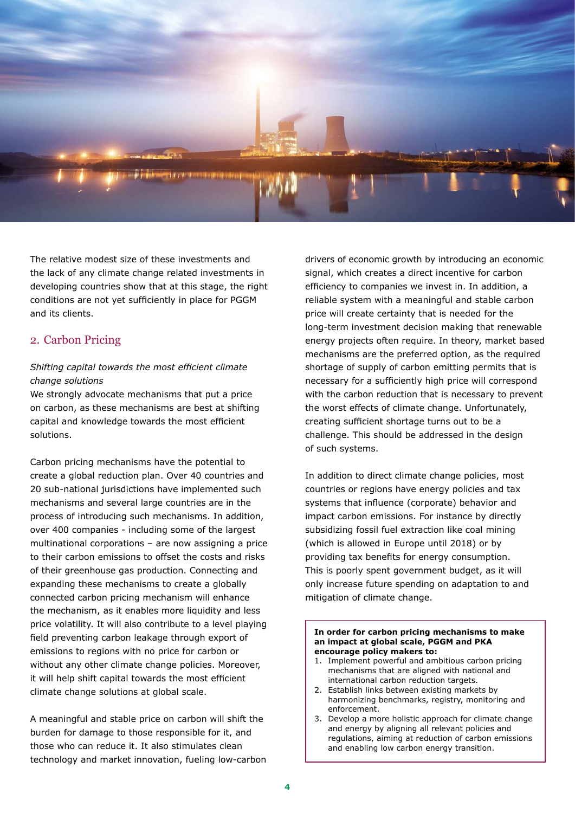

The relative modest size of these investments and the lack of any climate change related investments in developing countries show that at this stage, the right conditions are not yet sufficiently in place for PGGM and its clients.

# 2. Carbon Pricing

# *Shifting capital towards the most efficient climate change solutions*

We strongly advocate mechanisms that put a price on carbon, as these mechanisms are best at shifting capital and knowledge towards the most efficient solutions.

Carbon pricing mechanisms have the potential to create a global reduction plan. Over 40 countries and 20 sub-national jurisdictions have implemented such mechanisms and several large countries are in the process of introducing such mechanisms. In addition, over 400 companies - including some of the largest multinational corporations – are now assigning a price to their carbon emissions to offset the costs and risks of their greenhouse gas production. Connecting and expanding these mechanisms to create a globally connected carbon pricing mechanism will enhance the mechanism, as it enables more liquidity and less price volatility. It will also contribute to a level playing field preventing carbon leakage through export of emissions to regions with no price for carbon or without any other climate change policies. Moreover, it will help shift capital towards the most efficient climate change solutions at global scale.

A meaningful and stable price on carbon will shift the burden for damage to those responsible for it, and those who can reduce it. It also stimulates clean technology and market innovation, fueling low-carbon drivers of economic growth by introducing an economic signal, which creates a direct incentive for carbon efficiency to companies we invest in. In addition, a reliable system with a meaningful and stable carbon price will create certainty that is needed for the long-term investment decision making that renewable energy projects often require. In theory, market based mechanisms are the preferred option, as the required shortage of supply of carbon emitting permits that is necessary for a sufficiently high price will correspond with the carbon reduction that is necessary to prevent the worst effects of climate change. Unfortunately, creating sufficient shortage turns out to be a challenge. This should be addressed in the design of such systems.

In addition to direct climate change policies, most countries or regions have energy policies and tax systems that influence (corporate) behavior and impact carbon emissions. For instance by directly subsidizing fossil fuel extraction like coal mining (which is allowed in Europe until 2018) or by providing tax benefits for energy consumption. This is poorly spent government budget, as it will only increase future spending on adaptation to and mitigation of climate change.

#### **In order for carbon pricing mechanisms to make an impact at global scale, PGGM and PKA encourage policy makers to:**

- 1. Implement powerful and ambitious carbon pricing mechanisms that are aligned with national and international carbon reduction targets.
- 2. Establish links between existing markets by harmonizing benchmarks, registry, monitoring and enforcement.
- 3. Develop a more holistic approach for climate change and energy by aligning all relevant policies and regulations, aiming at reduction of carbon emissions and enabling low carbon energy transition.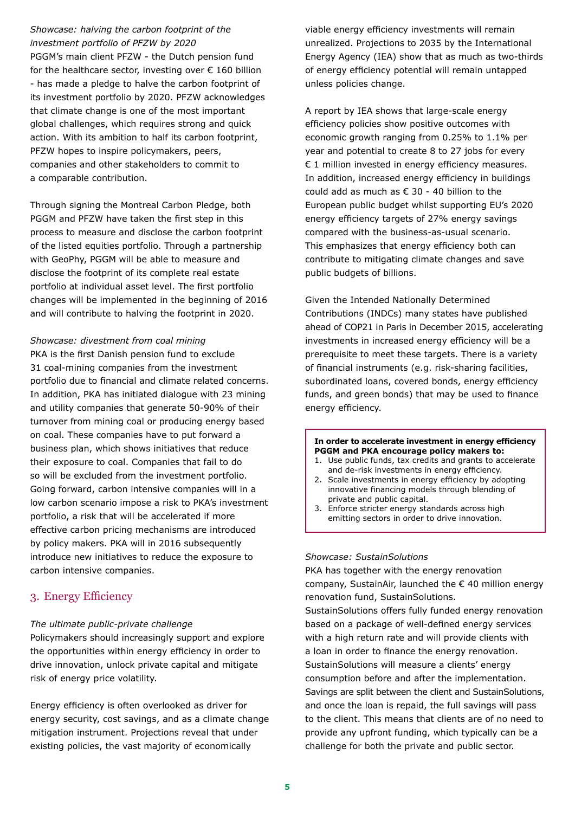# *Showcase: halving the carbon footprint of the investment portfolio of PFZW by 2020*

PGGM's main client PFZW - the Dutch pension fund for the healthcare sector, investing over  $\epsilon$  160 billion - has made a pledge to halve the carbon footprint of its investment portfolio by 2020. PFZW acknowledges that climate change is one of the most important global challenges, which requires strong and quick action. With its ambition to half its carbon footprint, PFZW hopes to inspire policymakers, peers, companies and other stakeholders to commit to a comparable contribution.

Through signing the Montreal Carbon Pledge, both PGGM and PFZW have taken the first step in this process to measure and disclose the carbon footprint of the listed equities portfolio. Through a partnership with GeoPhy, PGGM will be able to measure and disclose the footprint of its complete real estate portfolio at individual asset level. The first portfolio changes will be implemented in the beginning of 2016 and will contribute to halving the footprint in 2020.

#### *Showcase: divestment from coal mining*

PKA is the first Danish pension fund to exclude 31 coal-mining companies from the investment portfolio due to financial and climate related concerns. In addition, PKA has initiated dialogue with 23 mining and utility companies that generate 50-90% of their turnover from mining coal or producing energy based on coal. These companies have to put forward a business plan, which shows initiatives that reduce their exposure to coal. Companies that fail to do so will be excluded from the investment portfolio. Going forward, carbon intensive companies will in a low carbon scenario impose a risk to PKA's investment portfolio, a risk that will be accelerated if more effective carbon pricing mechanisms are introduced by policy makers. PKA will in 2016 subsequently introduce new initiatives to reduce the exposure to carbon intensive companies.

# 3. Energy Efficiency

## *The ultimate public-private challenge*

Policymakers should increasingly support and explore the opportunities within energy efficiency in order to drive innovation, unlock private capital and mitigate risk of energy price volatility.

Energy efficiency is often overlooked as driver for energy security, cost savings, and as a climate change mitigation instrument. Projections reveal that under existing policies, the vast majority of economically

viable energy efficiency investments will remain unrealized. Projections to 2035 by the International Energy Agency (IEA) show that as much as two-thirds of energy efficiency potential will remain untapped unless policies change.

A report by IEA shows that large-scale energy efficiency policies show positive outcomes with economic growth ranging from 0.25% to 1.1% per year and potential to create 8 to 27 jobs for every € 1 million invested in energy efficiency measures. In addition, increased energy efficiency in buildings could add as much as  $\epsilon$  30 - 40 billion to the European public budget whilst supporting EU's 2020 energy efficiency targets of 27% energy savings compared with the business-as-usual scenario. This emphasizes that energy efficiency both can contribute to mitigating climate changes and save public budgets of billions.

Given the Intended Nationally Determined Contributions (INDCs) many states have published ahead of COP21 in Paris in December 2015, accelerating investments in increased energy efficiency will be a prerequisite to meet these targets. There is a variety of financial instruments (e.g. risk-sharing facilities, subordinated loans, covered bonds, energy efficiency funds, and green bonds) that may be used to finance energy efficiency.

#### **In order to accelerate investment in energy efficiency PGGM and PKA encourage policy makers to:**

- 1. Use public funds, tax credits and grants to accelerate and de-risk investments in energy efficiency.
- 2. Scale investments in energy efficiency by adopting innovative financing models through blending of private and public capital.
- 3. Enforce stricter energy standards across high emitting sectors in order to drive innovation.

## *Showcase: SustainSolutions*

PKA has together with the energy renovation company, SustainAir, launched the € 40 million energy renovation fund, SustainSolutions.

SustainSolutions offers fully funded energy renovation based on a package of well-defined energy services with a high return rate and will provide clients with a loan in order to finance the energy renovation. SustainSolutions will measure a clients' energy consumption before and after the implementation. Savings are split between the client and SustainSolutions, and once the loan is repaid, the full savings will pass to the client. This means that clients are of no need to provide any upfront funding, which typically can be a challenge for both the private and public sector.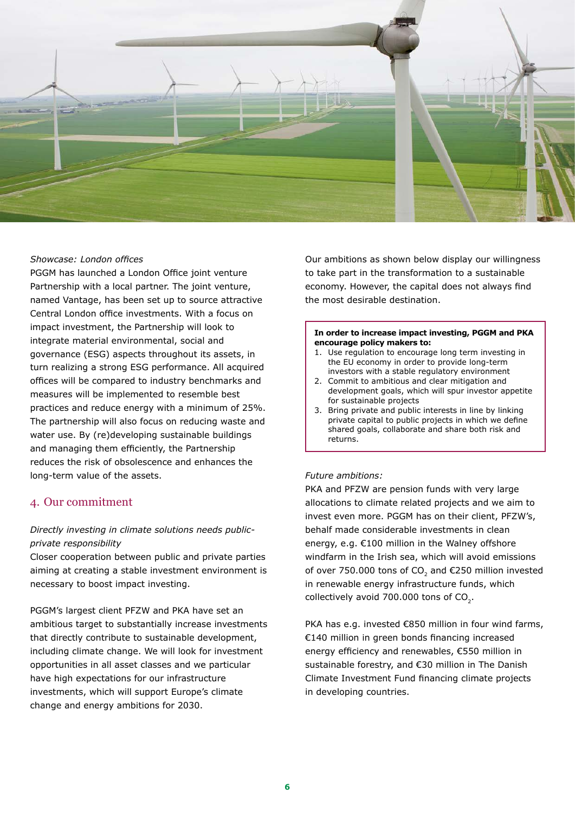

#### *Showcase: London offices*

PGGM has launched a London Office joint venture Partnership with a local partner. The joint venture, named Vantage, has been set up to source attractive Central London office investments. With a focus on impact investment, the Partnership will look to integrate material environmental, social and governance (ESG) aspects throughout its assets, in turn realizing a strong ESG performance. All acquired offices will be compared to industry benchmarks and measures will be implemented to resemble best practices and reduce energy with a minimum of 25%. The partnership will also focus on reducing waste and water use. By (re)developing sustainable buildings and managing them efficiently, the Partnership reduces the risk of obsolescence and enhances the long-term value of the assets.

# 4. Our commitment

# *Directly investing in climate solutions needs publicprivate responsibility*

Closer cooperation between public and private parties aiming at creating a stable investment environment is necessary to boost impact investing.

PGGM's largest client PFZW and PKA have set an ambitious target to substantially increase investments that directly contribute to sustainable development, including climate change. We will look for investment opportunities in all asset classes and we particular have high expectations for our infrastructure investments, which will support Europe's climate change and energy ambitions for 2030.

Our ambitions as shown below display our willingness to take part in the transformation to a sustainable economy. However, the capital does not always find the most desirable destination.

#### **In order to increase impact investing, PGGM and PKA encourage policy makers to:**

- 1. Use regulation to encourage long term investing in the EU economy in order to provide long-term investors with a stable regulatory environment
- 2. Commit to ambitious and clear mitigation and development goals, which will spur investor appetite for sustainable projects
- 3. Bring private and public interests in line by linking private capital to public projects in which we define shared goals, collaborate and share both risk and returns.

#### *Future ambitions:*

PKA and PFZW are pension funds with very large allocations to climate related projects and we aim to invest even more. PGGM has on their client, PFZW's, behalf made considerable investments in clean energy, e.g. €100 million in the Walney offshore windfarm in the Irish sea, which will avoid emissions of over 750.000 tons of CO<sub>2</sub> and  $E$ 250 million invested in renewable energy infrastructure funds, which collectively avoid  $700.000$  tons of  $CO<sub>2</sub>$ .

PKA has e.g. invested €850 million in four wind farms, €140 million in green bonds financing increased energy efficiency and renewables, €550 million in sustainable forestry, and €30 million in The Danish Climate Investment Fund financing climate projects in developing countries.